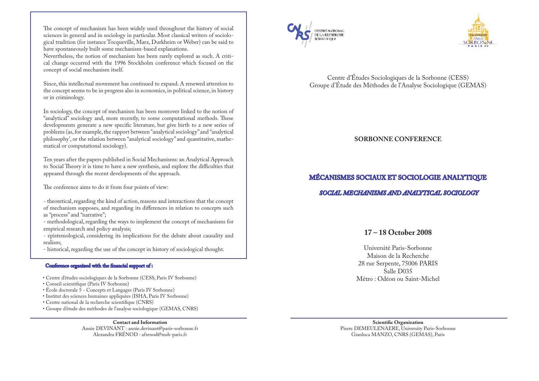The concept of mechanism has been widely used throughout the history of social sciences in general and in sociology in particular. Most classical writers of sociological tradition (for instance Tocqueville, Marx, Durkheim or Weber) can be said to have spontaneously built some mechanism-based explanations.

Nevertheless, the notion of mechanism has been rarely explored as such. A critical change occurred with the 1996 Stockholm conference which focused on the concept of social mechanism itself.

Since, this intellectual movement has continued to expand. A renewed attention to the concept seems to be in progress also in economics, in political science, in history or in criminology.

In sociology, the concept of mechanism has been moreover linked to the notion of "analytical" sociology and, more recently, to some computational methods. These developments generate a new specific literature, but give birth to a new series of problems (as, for example, the rapport between "analytical sociology" and "analytical philosophy', or the relation between "analytical sociology" and quantitative, mathematical or computational sociology).

Ten years after the papers published in Social Mechanisms: an Analytical Approach to Social Theory it is time to have a new synthesis, and explore the difficulties that appeared through the recent developments of the approach.

The conference aims to do it from four points of view:

- theoretical, regarding the kind of action, reasons and interactions that the concept of mechanism supposes, and regarding its differences in relation to concepts such as "process" and "narrative";

- methodological, regarding the ways to implement the concept of mechanisms for empirical research and policy analysis;

- epistemological, considering its implications for the debate about causality and realism;

- historical, regarding the use of the concept in history of sociological thought.

#### Conference organized with the financial support of:

- Centre d'études sociologiques de la Sorbonne (CESS, Paris IV Sorbonne)
- Conseil scientifique (Paris IV Sorbonne)
- École doctorale 5 Concepts et Langages (Paris IV Sorbonne)
- Institut des sciences humaines appliquées (ISHA, Paris IV Sorbonne)
- Centre national de la recherche scientifique (CNRS)
- Groupe d'étude des méthodes de l'analyse sociologique (GEMAS, CNRS)

**Contact and Information** Annie DEVINANT : annie.devinant@paris-sorbonne.fr Alexandra FRÉNOD : afrenod@msh-paris.fr





Centre d'Études Sociologiques de la Sorbonne (CESS) Groupe d'Étude des Méthodes de l'Analyse Sociologique (GEMAS)

### **SORBONNE CONFERENCE**

## MÉCANISMES SOCIAUX ET SOCIOLOGIE ANALYTIQUE

### SOCIAL MECHANISMS AND ANALYTICAL SOCIOLOGY

# **17 – 18 October 2008**

Université Paris-Sorbonne Maison de la Recherche 28 rue Serpente, 75006 PARIS Salle D035 Métro : Odéon ou Saint-Michel

**Scientific Organization** Pierre DEMEULENAERE, University Paris-Sorbonne Gianluca MANZO, CNRS (GEMAS), Paris